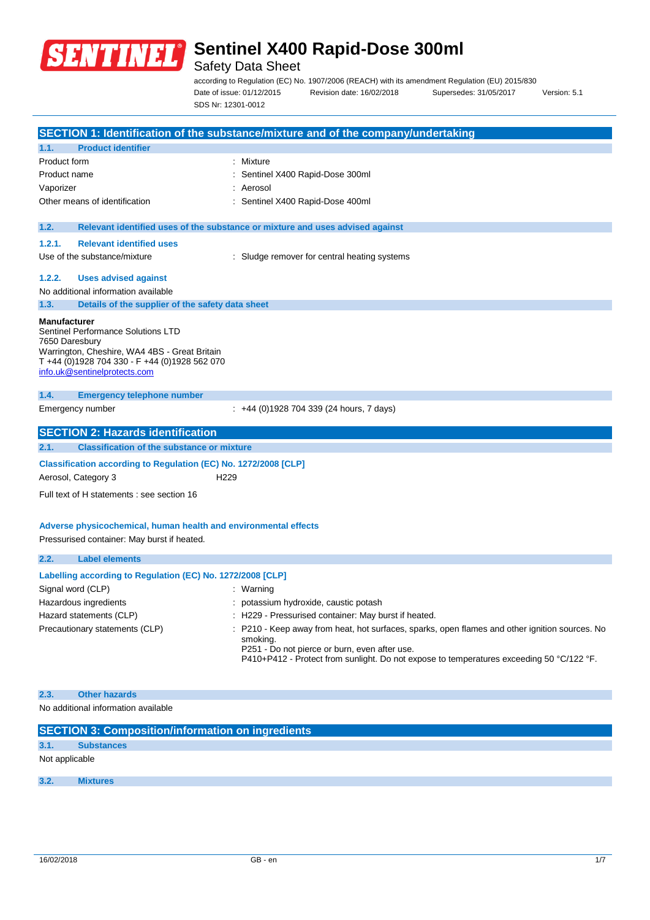

## Safety Data Sheet

according to Regulation (EC) No. 1907/2006 (REACH) with its amendment Regulation (EU) 2015/830 Date of issue: 01/12/2015 Revision date: 16/02/2018 Supersedes: 31/05/2017 Version: 5.1 SDS Nr: 12301-0012

|                                       |                                                                                                                                                                      | SECTION 1: Identification of the substance/mixture and of the company/undertaking |
|---------------------------------------|----------------------------------------------------------------------------------------------------------------------------------------------------------------------|-----------------------------------------------------------------------------------|
| 1.1.                                  | <b>Product identifier</b>                                                                                                                                            |                                                                                   |
| Product form                          |                                                                                                                                                                      | : Mixture                                                                         |
| Product name                          |                                                                                                                                                                      | Sentinel X400 Rapid-Dose 300ml                                                    |
| Vaporizer                             |                                                                                                                                                                      | Aerosol                                                                           |
|                                       | Other means of identification                                                                                                                                        | Sentinel X400 Rapid-Dose 400ml                                                    |
| 1.2.                                  |                                                                                                                                                                      | Relevant identified uses of the substance or mixture and uses advised against     |
| 1.2.1.                                | <b>Relevant identified uses</b>                                                                                                                                      |                                                                                   |
|                                       | Use of the substance/mixture                                                                                                                                         | Sludge remover for central heating systems                                        |
| 1.2.2.                                | <b>Uses advised against</b>                                                                                                                                          |                                                                                   |
|                                       | No additional information available                                                                                                                                  |                                                                                   |
| 1.3.                                  | Details of the supplier of the safety data sheet                                                                                                                     |                                                                                   |
| <b>Manufacturer</b><br>7650 Daresbury | Sentinel Performance Solutions LTD<br>Warrington, Cheshire, WA4 4BS - Great Britain<br>T +44 (0)1928 704 330 - F +44 (0)1928 562 070<br>info.uk@sentinelprotects.com |                                                                                   |
| 1.4.                                  | <b>Emergency telephone number</b>                                                                                                                                    |                                                                                   |
|                                       |                                                                                                                                                                      |                                                                                   |
|                                       | Emergency number                                                                                                                                                     | $\div$ +44 (0)1928 704 339 (24 hours, 7 days)                                     |
|                                       |                                                                                                                                                                      |                                                                                   |
|                                       | <b>SECTION 2: Hazards identification</b>                                                                                                                             |                                                                                   |
| 2.1.                                  | <b>Classification of the substance or mixture</b>                                                                                                                    |                                                                                   |
|                                       | Classification according to Regulation (EC) No. 1272/2008 [CLP]<br>H <sub>229</sub><br>Aerosol, Category 3                                                           |                                                                                   |
|                                       | Full text of H statements : see section 16                                                                                                                           |                                                                                   |
|                                       | Adverse physicochemical, human health and environmental effects<br>Pressurised container: May burst if heated.                                                       |                                                                                   |
| 2.2.                                  | <b>Label elements</b><br>Labelling according to Regulation (EC) No. 1272/2008 [CLP]                                                                                  |                                                                                   |

### **2.3. Other hazards**

No additional information available

| <b>SECTION 3: Composition/information on ingredients</b> |                   |  |  |  |  |
|----------------------------------------------------------|-------------------|--|--|--|--|
| 3.1.                                                     | <b>Substances</b> |  |  |  |  |
|                                                          | Not applicable    |  |  |  |  |
|                                                          |                   |  |  |  |  |
| 3.2.                                                     | <b>Mixtures</b>   |  |  |  |  |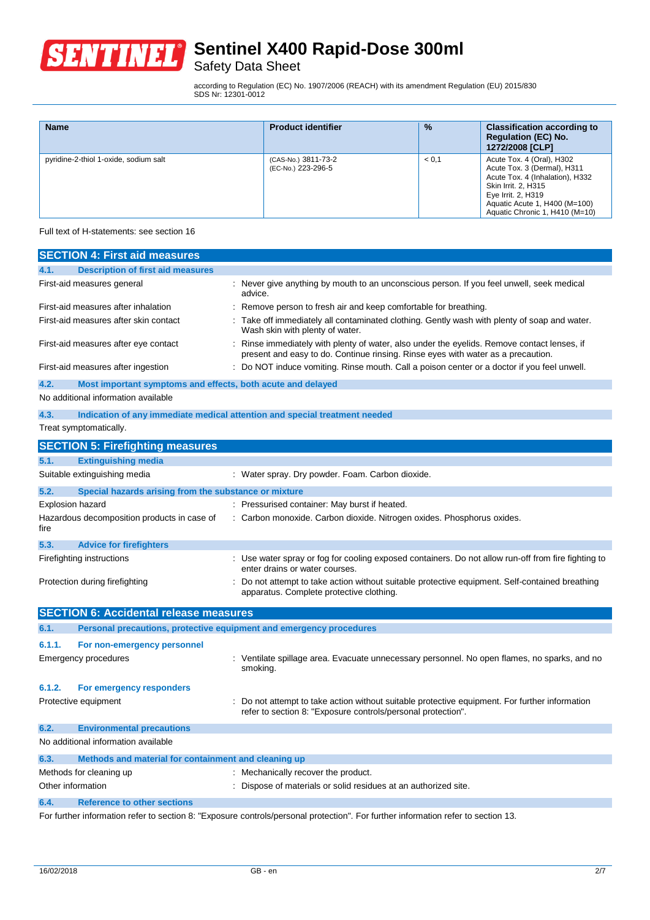

Safety Data Sheet

according to Regulation (EC) No. 1907/2006 (REACH) with its amendment Regulation (EU) 2015/830 SDS Nr: 12301-0012

| <b>Name</b>                           | <b>Product identifier</b>                 | $\frac{9}{6}$ | <b>Classification according to</b><br><b>Regulation (EC) No.</b><br>1272/2008 [CLP]                                                                                                                         |
|---------------------------------------|-------------------------------------------|---------------|-------------------------------------------------------------------------------------------------------------------------------------------------------------------------------------------------------------|
| pyridine-2-thiol 1-oxide, sodium salt | (CAS-No.) 3811-73-2<br>(EC-No.) 223-296-5 | < 0.1         | Acute Tox. 4 (Oral), H302<br>Acute Tox. 3 (Dermal), H311<br>Acute Tox. 4 (Inhalation), H332<br>Skin Irrit. 2, H315<br>Eye Irrit. 2, H319<br>Aquatic Acute 1, H400 (M=100)<br>Aquatic Chronic 1, H410 (M=10) |

Full text of H-statements: see section 16

| <b>SECTION 4: First aid measures</b>                                        |                                                                                                                                                                               |  |  |  |
|-----------------------------------------------------------------------------|-------------------------------------------------------------------------------------------------------------------------------------------------------------------------------|--|--|--|
| <b>Description of first aid measures</b><br>4.1.                            |                                                                                                                                                                               |  |  |  |
| First-aid measures general                                                  | : Never give anything by mouth to an unconscious person. If you feel unwell, seek medical<br>advice.                                                                          |  |  |  |
| First-aid measures after inhalation                                         | Remove person to fresh air and keep comfortable for breathing.                                                                                                                |  |  |  |
| First-aid measures after skin contact                                       | Take off immediately all contaminated clothing. Gently wash with plenty of soap and water.<br>Wash skin with plenty of water.                                                 |  |  |  |
| First-aid measures after eye contact                                        | Rinse immediately with plenty of water, also under the eyelids. Remove contact lenses, if<br>present and easy to do. Continue rinsing. Rinse eyes with water as a precaution. |  |  |  |
| First-aid measures after ingestion                                          | Do NOT induce vomiting. Rinse mouth. Call a poison center or a doctor if you feel unwell.                                                                                     |  |  |  |
| 4.2.<br>Most important symptoms and effects, both acute and delayed         |                                                                                                                                                                               |  |  |  |
| No additional information available                                         |                                                                                                                                                                               |  |  |  |
| 4.3.                                                                        | Indication of any immediate medical attention and special treatment needed                                                                                                    |  |  |  |
| Treat symptomatically.                                                      |                                                                                                                                                                               |  |  |  |
| <b>SECTION 5: Firefighting measures</b>                                     |                                                                                                                                                                               |  |  |  |
| 5.1.<br><b>Extinguishing media</b>                                          |                                                                                                                                                                               |  |  |  |
| Suitable extinguishing media                                                | : Water spray. Dry powder. Foam. Carbon dioxide.                                                                                                                              |  |  |  |
| 5.2.<br>Special hazards arising from the substance or mixture               |                                                                                                                                                                               |  |  |  |
| <b>Explosion hazard</b>                                                     | : Pressurised container: May burst if heated.                                                                                                                                 |  |  |  |
| Hazardous decomposition products in case of<br>fire                         | : Carbon monoxide. Carbon dioxide. Nitrogen oxides. Phosphorus oxides.                                                                                                        |  |  |  |
| 5.3.<br><b>Advice for firefighters</b>                                      |                                                                                                                                                                               |  |  |  |
| Firefighting instructions                                                   | : Use water spray or fog for cooling exposed containers. Do not allow run-off from fire fighting to<br>enter drains or water courses.                                         |  |  |  |
| Protection during firefighting                                              | Do not attempt to take action without suitable protective equipment. Self-contained breathing<br>apparatus. Complete protective clothing.                                     |  |  |  |
| <b>SECTION 6: Accidental release measures</b>                               |                                                                                                                                                                               |  |  |  |
| 6.1.<br>Personal precautions, protective equipment and emergency procedures |                                                                                                                                                                               |  |  |  |
| 6.1.1.<br>For non-emergency personnel                                       |                                                                                                                                                                               |  |  |  |
| <b>Emergency procedures</b>                                                 | : Ventilate spillage area. Evacuate unnecessary personnel. No open flames, no sparks, and no<br>smoking.                                                                      |  |  |  |
| 6.1.2.<br>For emergency responders                                          |                                                                                                                                                                               |  |  |  |
| Protective equipment                                                        | Do not attempt to take action without suitable protective equipment. For further information<br>refer to section 8: "Exposure controls/personal protection".                  |  |  |  |
| 6.2.<br><b>Environmental precautions</b>                                    |                                                                                                                                                                               |  |  |  |
| No additional information available                                         |                                                                                                                                                                               |  |  |  |
| 6.3.<br>Methods and material for containment and cleaning up                |                                                                                                                                                                               |  |  |  |
| Methods for cleaning up                                                     | : Mechanically recover the product.                                                                                                                                           |  |  |  |
| Other information                                                           | : Dispose of materials or solid residues at an authorized site.                                                                                                               |  |  |  |
| <b>Reference to other sections</b><br>6.4.                                  |                                                                                                                                                                               |  |  |  |
|                                                                             | For further information refer to section 8: "Exposure controls/personal protection". For further information refer to section 13.                                             |  |  |  |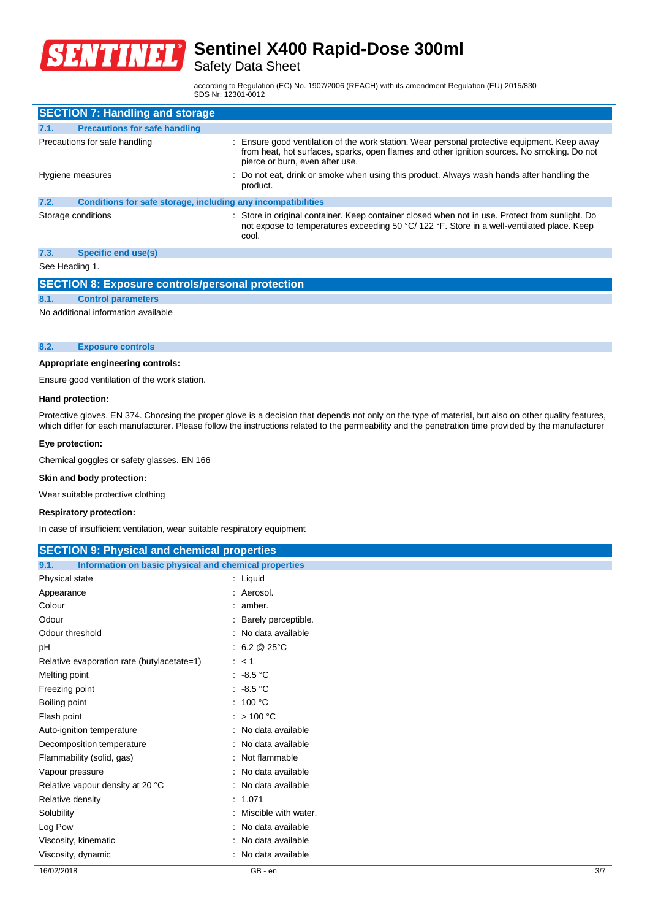

Safety Data Sheet

according to Regulation (EC) No. 1907/2006 (REACH) with its amendment Regulation (EU) 2015/830 SDS Nr: 12301-0012

| <b>SECTION 7: Handling and storage</b> |                                                              |                                                                                                                                                                                                                              |  |  |
|----------------------------------------|--------------------------------------------------------------|------------------------------------------------------------------------------------------------------------------------------------------------------------------------------------------------------------------------------|--|--|
| 7.1.                                   | <b>Precautions for safe handling</b>                         |                                                                                                                                                                                                                              |  |  |
| Precautions for safe handling          |                                                              | Ensure good ventilation of the work station. Wear personal protective equipment. Keep away<br>from heat, hot surfaces, sparks, open flames and other ignition sources. No smoking. Do not<br>pierce or burn, even after use. |  |  |
| Hygiene measures                       |                                                              | : Do not eat, drink or smoke when using this product. Always wash hands after handling the<br>product.                                                                                                                       |  |  |
| 7.2.                                   | Conditions for safe storage, including any incompatibilities |                                                                                                                                                                                                                              |  |  |
| Storage conditions                     |                                                              | : Store in original container. Keep container closed when not in use. Protect from sunlight. Do<br>not expose to temperatures exceeding 50 °C/ 122 °F. Store in a well-ventilated place. Keep<br>cool.                       |  |  |
| 7.3.                                   | Specific end use(s)                                          |                                                                                                                                                                                                                              |  |  |

See Heading 1.

### **SECTION 8: Exposure controls/personal protection**

**8.1. Control parameters** No additional information available

#### **8.2. Exposure controls**

#### **Appropriate engineering controls:**

Ensure good ventilation of the work station.

#### **Hand protection:**

Protective gloves. EN 374. Choosing the proper glove is a decision that depends not only on the type of material, but also on other quality features, which differ for each manufacturer. Please follow the instructions related to the permeability and the penetration time provided by the manufacturer

#### **Eye protection:**

Chemical goggles or safety glasses. EN 166

#### **Skin and body protection:**

Wear suitable protective clothing

#### **Respiratory protection:**

In case of insufficient ventilation, wear suitable respiratory equipment

| <b>SECTION 9: Physical and chemical properties</b>            |                         |  |  |  |
|---------------------------------------------------------------|-------------------------|--|--|--|
| 9.1.<br>Information on basic physical and chemical properties |                         |  |  |  |
| Physical state<br>$:$ Liquid                                  |                         |  |  |  |
| Appearance                                                    | : Aerosol.              |  |  |  |
| Colour                                                        | : amber.                |  |  |  |
| Odour                                                         | : Barely perceptible.   |  |  |  |
| Odour threshold                                               | : No data available     |  |  |  |
| рH                                                            | : $6.2 \& 25^{\circ}$ C |  |  |  |
| Relative evaporation rate (butylacetate=1)                    | : < 1                   |  |  |  |
| Melting point                                                 | $: -8.5 °C$             |  |  |  |
| Freezing point                                                | $.48.5\degree$ C        |  |  |  |
| Boiling point                                                 | : 100 °C                |  |  |  |
| Flash point                                                   | $:$ > 100 °C            |  |  |  |
| Auto-ignition temperature                                     | : No data available     |  |  |  |
| Decomposition temperature                                     | No data available       |  |  |  |
| Flammability (solid, gas)                                     | : Not flammable         |  |  |  |
| Vapour pressure                                               | No data available       |  |  |  |
| Relative vapour density at 20 °C                              | : No data available     |  |  |  |
| Relative density                                              | : 1.071                 |  |  |  |
| Solubility                                                    | : Miscible with water.  |  |  |  |
| Log Pow                                                       | No data available       |  |  |  |
| Viscosity, kinematic                                          | No data available       |  |  |  |
| Viscosity, dynamic                                            | No data available       |  |  |  |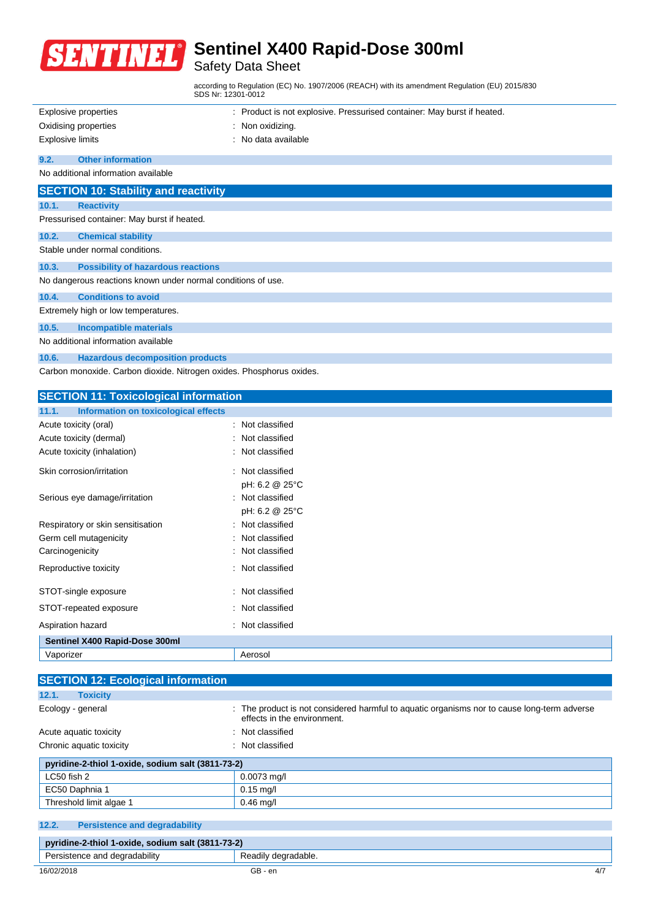

## Safety Data Sheet

according to Regulation (EC) No. 1907/2006 (REACH) with its amendment Regulation (EU) 2015/830 SDS Nr: 12301-0012 Explosive properties : Product is not explosive. Pressurised container: May burst if heated. Oxidising properties : Non oxidizing. Explosive limits : No data available **9.2. Other information** No additional information available **SECTION 10: Stability and reactivity 10.1. Reactivity** Pressurised container: May burst if heated. **10.2. Chemical stability** Stable under normal conditions. **10.3. Possibility of hazardous reactions** No dangerous reactions known under normal conditions of use. **10.4. Conditions to avoid** Extremely high or low temperatures. **10.5. Incompatible materials** No additional information available **10.6. Hazardous decomposition products** Carbon monoxide. Carbon dioxide. Nitrogen oxides. Phosphorus oxides.

| <b>SECTION 11: Toxicological information</b>  |                      |  |  |  |
|-----------------------------------------------|----------------------|--|--|--|
| Information on toxicological effects<br>11.1. |                      |  |  |  |
| Acute toxicity (oral)                         | : Not classified     |  |  |  |
| Acute toxicity (dermal)                       | : Not classified     |  |  |  |
| Acute toxicity (inhalation)                   | : Not classified     |  |  |  |
| Skin corrosion/irritation                     | : Not classified     |  |  |  |
|                                               | pH: 6.2 @ 25°C       |  |  |  |
| Serious eye damage/irritation                 | : Not classified     |  |  |  |
|                                               | pH: 6.2 @ 25°C       |  |  |  |
| Respiratory or skin sensitisation             | Not classified       |  |  |  |
| Germ cell mutagenicity                        | Not classified<br>÷  |  |  |  |
| Carcinogenicity                               | : Not classified     |  |  |  |
| Reproductive toxicity                         | : Not classified     |  |  |  |
| STOT-single exposure                          | : Not classified     |  |  |  |
| STOT-repeated exposure                        | : Not classified     |  |  |  |
| Aspiration hazard                             | Not classified<br>÷. |  |  |  |
| Sentinel X400 Rapid-Dose 300ml                |                      |  |  |  |
| Vaporizer                                     | Aerosol              |  |  |  |

| <b>SECTION 12: Ecological information</b>         |                                                                                                                            |  |  |  |
|---------------------------------------------------|----------------------------------------------------------------------------------------------------------------------------|--|--|--|
| <b>Toxicity</b><br>12.1.                          |                                                                                                                            |  |  |  |
| Ecology - general                                 | : The product is not considered harmful to aquatic organisms nor to cause long-term adverse<br>effects in the environment. |  |  |  |
| Acute aquatic toxicity                            | : Not classified                                                                                                           |  |  |  |
| Chronic aquatic toxicity                          | : Not classified                                                                                                           |  |  |  |
| pyridine-2-thiol 1-oxide, sodium salt (3811-73-2) |                                                                                                                            |  |  |  |
| LC50 fish 2                                       | $0.0073$ mg/l                                                                                                              |  |  |  |
| EC50 Daphnia 1                                    | $0.15$ mg/l                                                                                                                |  |  |  |
| Threshold limit algae 1                           | $0.46$ mg/l                                                                                                                |  |  |  |
|                                                   |                                                                                                                            |  |  |  |

|                                                   | 12.2.                         | <b>Persistence and degradability</b> |     |  |
|---------------------------------------------------|-------------------------------|--------------------------------------|-----|--|
| pyridine-2-thiol 1-oxide, sodium salt (3811-73-2) |                               |                                      |     |  |
|                                                   | Persistence and degradability | Readily degradable.                  |     |  |
|                                                   | 16/02/2018                    | GB - en                              | 4/7 |  |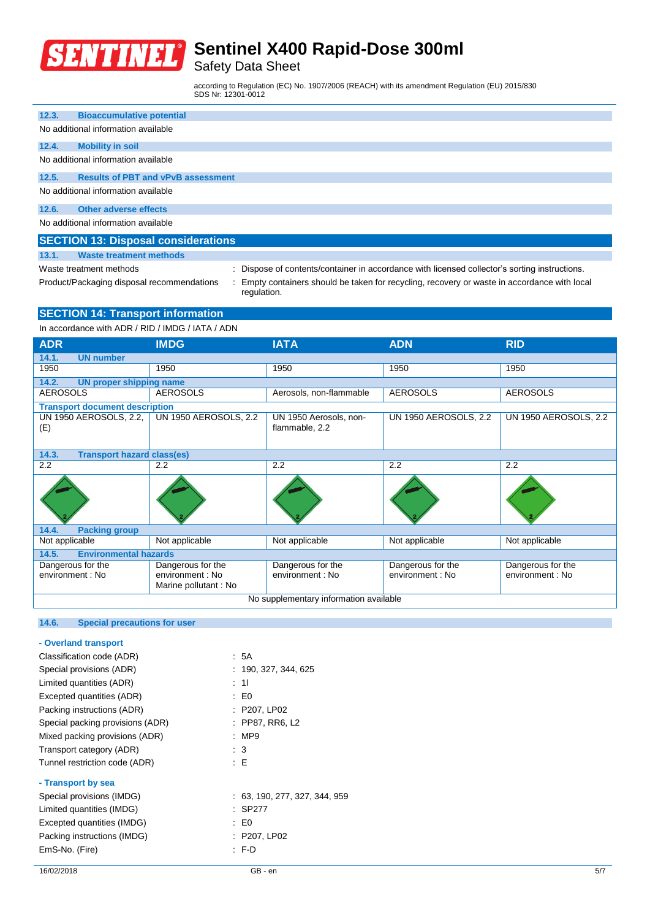

## Safety Data Sheet

regulation.

according to Regulation (EC) No. 1907/2006 (REACH) with its amendment Regulation (EU) 2015/830 SDS Nr: 12301-0012

| 12.3. | <b>Bioaccumulative potential</b>          |  |  |  |  |
|-------|-------------------------------------------|--|--|--|--|
|       | No additional information available       |  |  |  |  |
| 12.4. | <b>Mobility in soil</b>                   |  |  |  |  |
|       | No additional information available       |  |  |  |  |
| 12.5. | <b>Results of PBT and vPvB assessment</b> |  |  |  |  |
|       | No additional information available       |  |  |  |  |
| 12.6. | Other adverse effects                     |  |  |  |  |
|       | No additional information available       |  |  |  |  |

|       | <b>SECTION 13: Disposal considerations</b> |
|-------|--------------------------------------------|
| 13.1. | <b>Waste treatment methods</b>             |

Waste treatment methods : Dispose of contents/container in accordance with licensed collector's sorting instructions.

Product/Packaging disposal recommendations : Empty containers should be taken for recycling, recovery or waste in accordance with local

**SECTION 14: Transport information**

In accordance with ADR / RID / IMDG / IATA / ADN

| <b>ADR</b>                                 | <b>IMDG</b>                                                   | <b>IATA</b>                              | <b>ADN</b>                            | <b>RID</b>                            |
|--------------------------------------------|---------------------------------------------------------------|------------------------------------------|---------------------------------------|---------------------------------------|
| 14.1.<br><b>UN number</b>                  |                                                               |                                          |                                       |                                       |
| 1950                                       | 1950                                                          | 1950                                     | 1950                                  | 1950                                  |
| 14.2.<br><b>UN proper shipping name</b>    |                                                               |                                          |                                       |                                       |
| <b>AEROSOLS</b>                            | <b>AEROSOLS</b>                                               | Aerosols, non-flammable                  | <b>AEROSOLS</b>                       | <b>AEROSOLS</b>                       |
| <b>Transport document description</b>      |                                                               |                                          |                                       |                                       |
| UN 1950 AEROSOLS, 2.2,<br>(E)              | <b>UN 1950 AEROSOLS, 2.2</b>                                  | UN 1950 Aerosols, non-<br>flammable, 2.2 | <b>UN 1950 AEROSOLS, 2.2</b>          | <b>UN 1950 AEROSOLS, 2.2</b>          |
| 14.3.<br><b>Transport hazard class(es)</b> |                                                               |                                          |                                       |                                       |
| 2.2                                        | 2.2                                                           | 2.2                                      | 2.2                                   | 2.2                                   |
|                                            |                                                               |                                          |                                       |                                       |
| 14.4.<br><b>Packing group</b>              |                                                               |                                          |                                       |                                       |
| Not applicable                             | Not applicable                                                | Not applicable                           | Not applicable                        | Not applicable                        |
| 14.5.<br><b>Environmental hazards</b>      |                                                               |                                          |                                       |                                       |
| Dangerous for the<br>environment : No      | Dangerous for the<br>environment : No<br>Marine pollutant: No | Dangerous for the<br>environment : No    | Dangerous for the<br>environment : No | Dangerous for the<br>environment : No |
| No supplementary information available     |                                                               |                                          |                                       |                                       |

### **14.6. Special precautions for user**

| - Overland transport             |                               |
|----------------------------------|-------------------------------|
| Classification code (ADR)        | : 5A                          |
| Special provisions (ADR)         | : 190, 327, 344, 625          |
| Limited quantities (ADR)         | : 11                          |
| Excepted quantities (ADR)        | : E0                          |
| Packing instructions (ADR)       | : P207, LP02                  |
| Special packing provisions (ADR) | : PP87, RR6, L2               |
| Mixed packing provisions (ADR)   | :MP9                          |
| Transport category (ADR)         | $\therefore$ 3                |
| Tunnel restriction code (ADR)    | : E                           |
| - Transport by sea               |                               |
| Special provisions (IMDG)        | : 63, 190, 277, 327, 344, 959 |
| Limited quantities (IMDG)        | : SP277                       |
| Excepted quantities (IMDG)       | : E0                          |
| Packing instructions (IMDG)      | : P207, LP02                  |
| EmS-No. (Fire)                   | $F-D$                         |
|                                  |                               |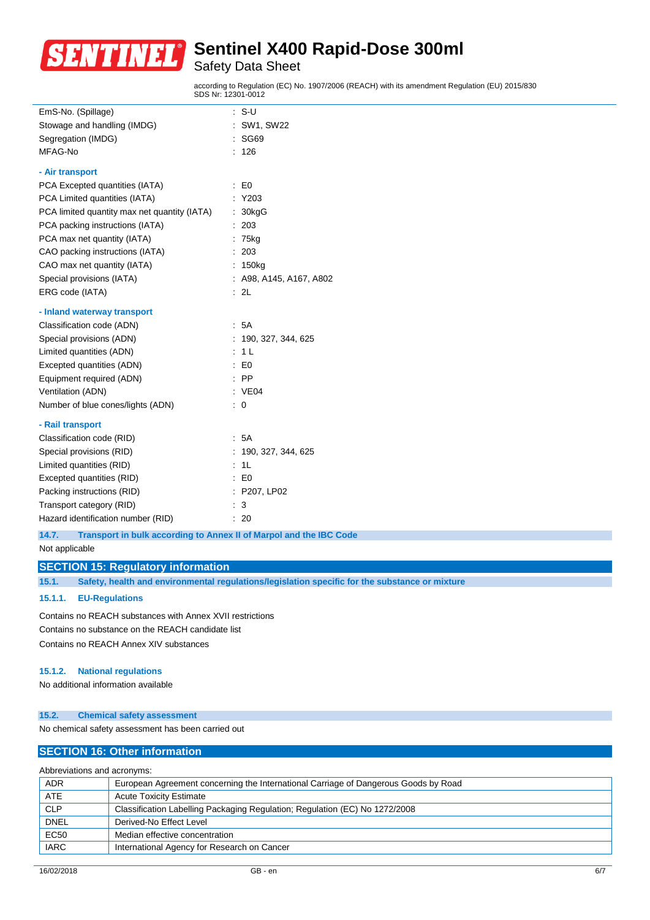

## Safety Data Sheet

according to Regulation (EC) No. 1907/2006 (REACH) with its amendment Regulation (EU) 2015/830 SDS Nr: 12301-0012

| EmS-No. (Spillage)                           | t. | $S-U$                   |
|----------------------------------------------|----|-------------------------|
| Stowage and handling (IMDG)                  |    | SW1, SW22               |
| Segregation (IMDG)                           |    | <b>SG69</b>             |
| MFAG-No                                      |    | 126                     |
| - Air transport                              |    |                         |
| PCA Excepted quantities (IATA)               | ÷  | E <sub>0</sub>          |
| PCA Limited quantities (IATA)                |    | Y203                    |
| PCA limited quantity max net quantity (IATA) |    | 30kgG                   |
| PCA packing instructions (IATA)              |    | 203                     |
| PCA max net quantity (IATA)                  |    | 75kg                    |
| CAO packing instructions (IATA)              |    | 203                     |
| CAO max net quantity (IATA)                  | t. | 150 <sub>kg</sub>       |
| Special provisions (IATA)                    |    | : A98, A145, A167, A802 |
| ERG code (IATA)                              |    | : 2L                    |
|                                              |    |                         |
| - Inland waterway transport                  |    |                         |
| Classification code (ADN)                    |    | : 5A                    |
| Special provisions (ADN)                     |    | 190, 327, 344, 625      |
| Limited quantities (ADN)                     |    | 1 <sub>L</sub>          |
| Excepted quantities (ADN)                    |    | $\therefore$ EO         |
| Equipment required (ADN)                     |    | $:$ PP                  |
| Ventilation (ADN)                            |    | : VE04                  |
| Number of blue cones/lights (ADN)            |    | 0                       |
| - Rail transport                             |    |                         |
| Classification code (RID)                    |    | : 5A                    |
| Special provisions (RID)                     |    | 190, 327, 344, 625      |
| Limited quantities (RID)                     |    | 1L                      |
| Excepted quantities (RID)                    |    | : E0                    |
| Packing instructions (RID)                   |    | : P207, LP02            |
| Transport category (RID)                     |    | 3                       |
| Hazard identification number (RID)           |    | 20                      |

**14.7. Transport in bulk according to Annex II of Marpol and the IBC Code**

### Not applicable

#### **SECTION 15: Regulatory information**

**15.1. Safety, health and environmental regulations/legislation specific for the substance or mixture**

#### **15.1.1. EU-Regulations**

Contains no REACH substances with Annex XVII restrictions Contains no substance on the REACH candidate list Contains no REACH Annex XIV substances

#### **15.1.2. National regulations**

No additional information available

#### **15.2. Chemical safety assessment**

No chemical safety assessment has been carried out

### **SECTION 16: Other information**

### Abbreviations and acronyms:

| <b>ADR</b>  | European Agreement concerning the International Carriage of Dangerous Goods by Road |
|-------------|-------------------------------------------------------------------------------------|
| ATE         | <b>Acute Toxicity Estimate</b>                                                      |
| <b>CLP</b>  | Classification Labelling Packaging Regulation; Regulation (EC) No 1272/2008         |
| <b>DNEL</b> | Derived-No Effect Level                                                             |
| <b>EC50</b> | Median effective concentration                                                      |
| <b>IARC</b> | International Agency for Research on Cancer                                         |